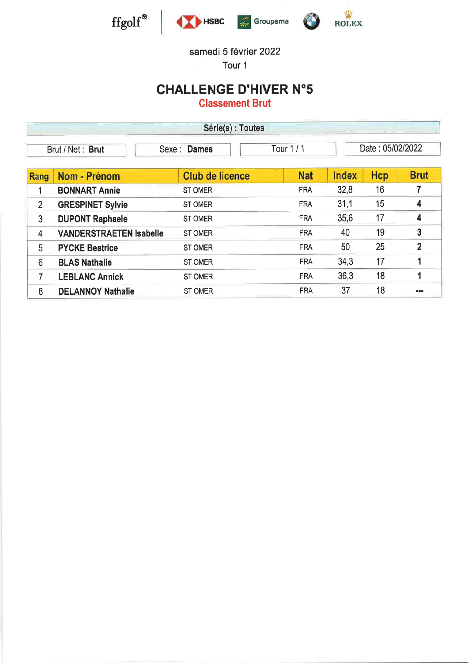





G

samedi 5 février 2022

Tour 1

# **CHALLENGE D'HIVER N°5**

**Classement Brut** 

| Série(s) : Toutes                                                 |                                |                        |            |              |     |                |  |
|-------------------------------------------------------------------|--------------------------------|------------------------|------------|--------------|-----|----------------|--|
| Date: 05/02/2022<br>Tour $1/1$<br>Sexe: Dames<br>Brut / Net: Brut |                                |                        |            |              |     |                |  |
| Rang                                                              | Nom - Prénom                   | <b>Club de licence</b> | <b>Nat</b> | <b>Index</b> | Hcp | <b>Brut</b>    |  |
|                                                                   | <b>BONNART Annie</b>           | <b>ST OMER</b>         | <b>FRA</b> | 32,8         | 16  | 7              |  |
| $\overline{2}$                                                    | <b>GRESPINET Sylvie</b>        | <b>ST OMER</b>         | <b>FRA</b> | 31,1         | 15  | 4              |  |
| 3                                                                 | <b>DUPONT Raphaele</b>         | <b>ST OMER</b>         | <b>FRA</b> | 35,6         | 17  | 4              |  |
| 4                                                                 | <b>VANDERSTRAETEN Isabelle</b> | <b>ST OMER</b>         | <b>FRA</b> | 40           | 19  | $\mathbf{3}$   |  |
| 5                                                                 | <b>PYCKE Beatrice</b>          | <b>ST OMER</b>         | <b>FRA</b> | 50           | 25  | $\overline{2}$ |  |
| 6                                                                 | <b>BLAS Nathalie</b>           | <b>ST OMER</b>         | <b>FRA</b> | 34,3         | 17  |                |  |
| 7                                                                 | <b>LEBLANC Annick</b>          | <b>ST OMER</b>         | <b>FRA</b> | 36,3         | 18  |                |  |
| 8                                                                 | <b>DELANNOY Nathalie</b>       | <b>ST OMER</b>         | <b>FRA</b> | 37           | 18  | <b>HD</b>      |  |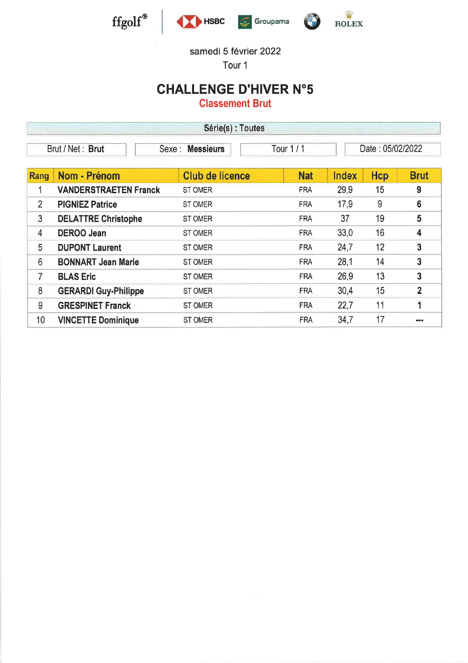





#### samedi 5 février 2022

Tour <sup>1</sup>

### CHALLENGE D'HIVER N"5

Classement Brut

| Série(s) : Toutes |                              |                        |            |                  |     |                |  |
|-------------------|------------------------------|------------------------|------------|------------------|-----|----------------|--|
|                   | Brut / Net: Brut             | Sexe: Messieurs        | Tour 1/1   | Date: 05/02/2022 |     |                |  |
| Rang              | Nom - Prénom                 | <b>Club de licence</b> | <b>Nat</b> | <b>Index</b>     | Hcp | <b>Brut</b>    |  |
|                   | <b>VANDERSTRAETEN Franck</b> | <b>ST OMER</b>         | <b>FRA</b> | 29,9             | 15  | 9              |  |
| 2                 | <b>PIGNIEZ Patrice</b>       | ST OMER                | <b>FRA</b> | 17,9             | 9   | 6              |  |
| 3                 | <b>DELATTRE Christophe</b>   | ST OMER                | <b>FRA</b> | 37               | 19  | 5              |  |
| 4                 | <b>DEROO Jean</b>            | ST OMER                | <b>FRA</b> | 33,0             | 16  | 4              |  |
| 5                 | <b>DUPONT Laurent</b>        | ST OMER                | <b>FRA</b> | 24,7             | 12  | 3              |  |
| 6                 | <b>BONNART Jean Marie</b>    | <b>ST OMER</b>         | <b>FRA</b> | 28,1             | 14  | 3              |  |
| 7                 | <b>BLAS Eric</b>             | ST OMER                | <b>FRA</b> | 26,9             | 13  | 3              |  |
| 8                 | <b>GERARDI Guy-Philippe</b>  | ST OMER                | <b>FRA</b> | 30,4             | 15  | $\overline{2}$ |  |
| 9                 | <b>GRESPINET Franck</b>      | <b>ST OMER</b>         | <b>FRA</b> | 22,7             | 11  | 1              |  |
| 10                | <b>VINCETTE Dominique</b>    | <b>ST OMER</b>         | <b>FRA</b> | 34,7             | 17  | 100100         |  |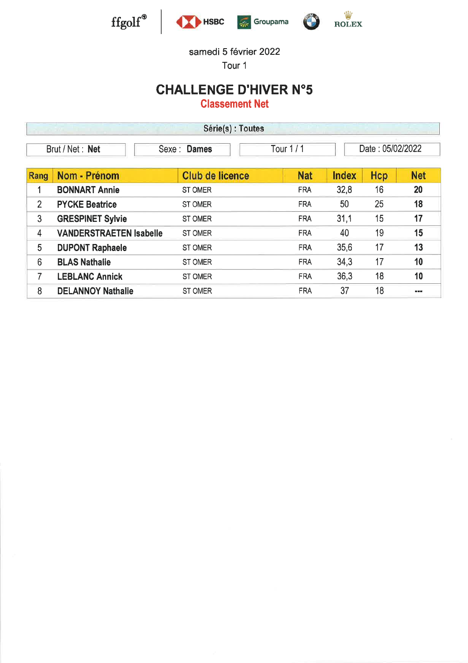

samedi 5 février 2022

Tour 1

# **CHALLENGE D'HIVER N°5**

**Classement Net** 

| Série(s) : Toutes |                                |                        |            |              |                  |                |  |  |
|-------------------|--------------------------------|------------------------|------------|--------------|------------------|----------------|--|--|
|                   | Brut / Net: Net                | Sexe : Dames           | Tour 1/1   |              | Date: 05/02/2022 |                |  |  |
| Rang              | Nom - Prénom                   | <b>Club de licence</b> | <b>Nat</b> | <b>Index</b> | Hcp              | <b>Net</b>     |  |  |
|                   | <b>BONNART Annie</b>           | <b>ST OMER</b>         | <b>FRA</b> | 32,8         | 16               | 20             |  |  |
| $\overline{2}$    | <b>PYCKE Beatrice</b>          | ST OMER                | <b>FRA</b> | 50           | 25               | 18             |  |  |
| 3                 | <b>GRESPINET Sylvie</b>        | ST OMER                | <b>FRA</b> | 31,1         | 15               | 17             |  |  |
| $\overline{4}$    | <b>VANDERSTRAETEN Isabelle</b> | ST OMER                | <b>FRA</b> | 40           | 19               | 15             |  |  |
| 5                 | <b>DUPONT Raphaele</b>         | ST OMER                | <b>FRA</b> | 35,6         | 17               | 13             |  |  |
| $6\phantom{1}6$   | <b>BLAS Nathalie</b>           | ST OMER                | <b>FRA</b> | 34,3         | 17               | 10             |  |  |
| 7                 | <b>LEBLANC Annick</b>          | <b>ST OMER</b>         | <b>FRA</b> | 36,3         | 18               | 10             |  |  |
| 8                 | <b>DELANNOY Nathalie</b>       | <b>ST OMER</b>         | <b>FRA</b> | 37           | 18               | <b>COMMENT</b> |  |  |